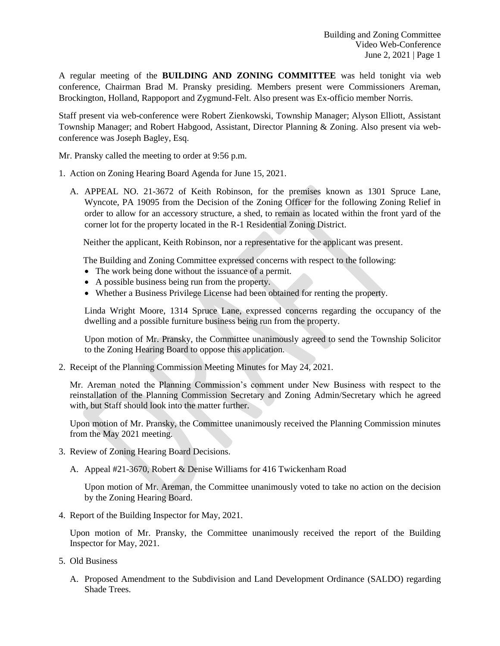A regular meeting of the **BUILDING AND ZONING COMMITTEE** was held tonight via web conference, Chairman Brad M. Pransky presiding. Members present were Commissioners Areman, Brockington, Holland, Rappoport and Zygmund-Felt. Also present was Ex-officio member Norris.

Staff present via web-conference were Robert Zienkowski, Township Manager; Alyson Elliott, Assistant Township Manager; and Robert Habgood, Assistant, Director Planning & Zoning. Also present via webconference was Joseph Bagley, Esq.

Mr. Pransky called the meeting to order at 9:56 p.m.

- 1. Action on Zoning Hearing Board Agenda for June 15, 2021.
	- A. APPEAL NO. 21-3672 of Keith Robinson, for the premises known as 1301 Spruce Lane, Wyncote, PA 19095 from the Decision of the Zoning Officer for the following Zoning Relief in order to allow for an accessory structure, a shed, to remain as located within the front yard of the corner lot for the property located in the R-1 Residential Zoning District.

Neither the applicant, Keith Robinson, nor a representative for the applicant was present.

The Building and Zoning Committee expressed concerns with respect to the following:

- The work being done without the issuance of a permit.
- A possible business being run from the property.
- Whether a Business Privilege License had been obtained for renting the property.

Linda Wright Moore, 1314 Spruce Lane, expressed concerns regarding the occupancy of the dwelling and a possible furniture business being run from the property.

Upon motion of Mr. Pransky, the Committee unanimously agreed to send the Township Solicitor to the Zoning Hearing Board to oppose this application.

2. Receipt of the Planning Commission Meeting Minutes for May 24, 2021.

Mr. Areman noted the Planning Commission's comment under New Business with respect to the reinstallation of the Planning Commission Secretary and Zoning Admin/Secretary which he agreed with, but Staff should look into the matter further.

Upon motion of Mr. Pransky, the Committee unanimously received the Planning Commission minutes from the May 2021 meeting.

- 3. Review of Zoning Hearing Board Decisions.
	- A. Appeal #21-3670, Robert & Denise Williams for 416 Twickenham Road

Upon motion of Mr. Areman, the Committee unanimously voted to take no action on the decision by the Zoning Hearing Board.

4. Report of the Building Inspector for May, 2021.

Upon motion of Mr. Pransky, the Committee unanimously received the report of the Building Inspector for May, 2021.

- 5. Old Business
	- A. Proposed Amendment to the Subdivision and Land Development Ordinance (SALDO) regarding Shade Trees.